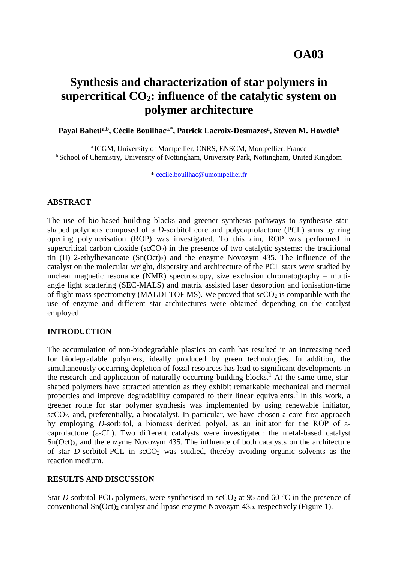## **OA03**

# **Synthesis and characterization of star polymers in supercritical CO2: influence of the catalytic system on polymer architecture**

**Payal Bahetia,b, Cécile Bouilhaca,\*, Patrick Lacroix-Desmazes<sup>a</sup> , Steven M. Howdle<sup>b</sup>**

<sup>a</sup> ICGM, University of Montpellier, CNRS, ENSCM, Montpellier, France <sup>b</sup> School of Chemistry, University of Nottingham, University Park, Nottingham, United Kingdom

\* [cecile.bouilhac@umontpellier.fr](mailto:cecile.bouilhac@umontpellier.fr)

#### **ABSTRACT**

The use of bio-based building blocks and greener synthesis pathways to synthesise starshaped polymers composed of a *D*-sorbitol core and polycaprolactone (PCL) arms by ring opening polymerisation (ROP) was investigated. To this aim, ROP was performed in supercritical carbon dioxide  $(scCO<sub>2</sub>)$  in the presence of two catalytic systems: the traditional tin (II) 2-ethylhexanoate  $(Sn(Oct)_2)$  and the enzyme Novozym 435. The influence of the catalyst on the molecular weight, dispersity and architecture of the PCL stars were studied by nuclear magnetic resonance (NMR) spectroscopy, size exclusion chromatography – multiangle light scattering (SEC-MALS) and matrix assisted laser desorption and ionisation-time of flight mass spectrometry (MALDI-TOF MS). We proved that  $\sec O_2$  is compatible with the use of enzyme and different star architectures were obtained depending on the catalyst employed.

#### **INTRODUCTION**

The accumulation of non-biodegradable plastics on earth has resulted in an increasing need for biodegradable polymers, ideally produced by green technologies. In addition, the simultaneously occurring depletion of fossil resources has lead to significant developments in the research and application of naturally occurring building blocks.<sup>1</sup> At the same time, starshaped polymers have attracted attention as they exhibit remarkable mechanical and thermal properties and improve degradability compared to their linear equivalents.<sup>2</sup> In this work, a greener route for star polymer synthesis was implemented by using renewable initiator,  $\sec CO_2$ , and, preferentially, a biocatalyst. In particular, we have chosen a core-first approach by employing *D*-sorbitol, a biomass derived polyol, as an initiator for the ROP of εcaprolactone (ε-CL). Two different catalysts were investigated: the metal-based catalyst Sn(Oct)2, and the enzyme Novozym 435. The influence of both catalysts on the architecture of star *D*-sorbitol-PCL in  $\text{scCO}_2$  was studied, thereby avoiding organic solvents as the reaction medium.

#### **RESULTS AND DISCUSSION**

Star *D*-sorbitol-PCL polymers, were synthesised in  $\sec O_2$  at 95 and 60 °C in the presence of conventional  $Sn(Oct)_2$  catalyst and lipase enzyme Novozym 435, respectively (Figure 1).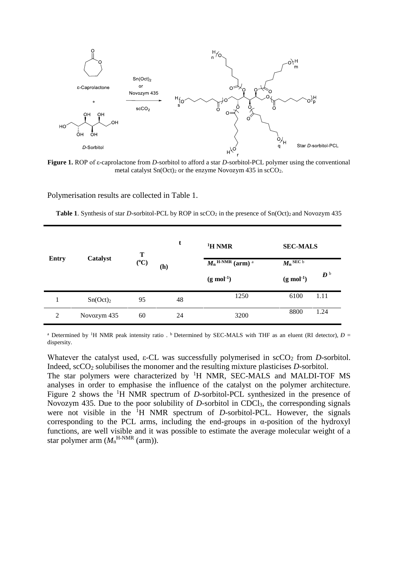

**Figure 1.** ROP of ε-caprolactone from *D*-sorbitol to afford a star *D*-sorbitol-PCL polymer using the conventional metal catalyst  $Sn(Oct)_2$  or the enzyme Novozym 435 in  $scCO_2$ .

Polymerisation results are collected in Table 1.

**Table 1**. Synthesis of star *D*-sorbitol-PCL by ROP in scCO<sub>2</sub> in the presence of Sn(Oct)<sub>2</sub> and Novozym 435

| <b>Entry</b> | Catalyst    | T<br>$({}^oC)$ | t   | <sup>1</sup> H NMR                                   | <b>SEC-MALS</b>        |                       |
|--------------|-------------|----------------|-----|------------------------------------------------------|------------------------|-----------------------|
|              |             |                | (h) | $\overline{M_{n}^{\text{H-NMR}}}$ (arm) <sup>a</sup> | $M_n$ SEC b            |                       |
|              |             |                |     | $(g \mod 1)$                                         | $(g \text{ mol}^{-1})$ | $\bm{D}^{\,\text{b}}$ |
| 1            | $Sn(Oct)_2$ | 95             | 48  | 1250                                                 | 6100                   | 1.11                  |
| 2            | Novozym 435 | 60             | 24  | 3200                                                 | 8800                   | 1.24                  |

<sup>a</sup> Determined by <sup>1</sup>H NMR peak intensity ratio . <sup>b</sup> Determined by SEC-MALS with THF as an eluent (RI detector),  $D =$ dispersity.

Whatever the catalyst used,  $\varepsilon$ -CL was successfully polymerised in  $\sec O_2$  from *D*-sorbitol. Indeed, scCO<sup>2</sup> solubilises the monomer and the resulting mixture plasticises *D*-sorbitol. The star polymers were characterized by  ${}^{1}H$  NMR, SEC-MALS and MALDI-TOF MS analyses in order to emphasise the influence of the catalyst on the polymer architecture. Figure 2 shows the <sup>1</sup>H NMR spectrum of *D*-sorbitol-PCL synthesized in the presence of Novozym 435. Due to the poor solubility of *D-*sorbitol in CDCl3, the corresponding signals were not visible in the <sup>1</sup>H NMR spectrum of *D*-sorbitol-PCL. However, the signals corresponding to the PCL arms, including the end-groups in  $\alpha$ -position of the hydroxyl functions, are well visible and it was possible to estimate the average molecular weight of a star polymer arm  $(M<sub>n</sub><sup>H-NMR</sup> (arm)).$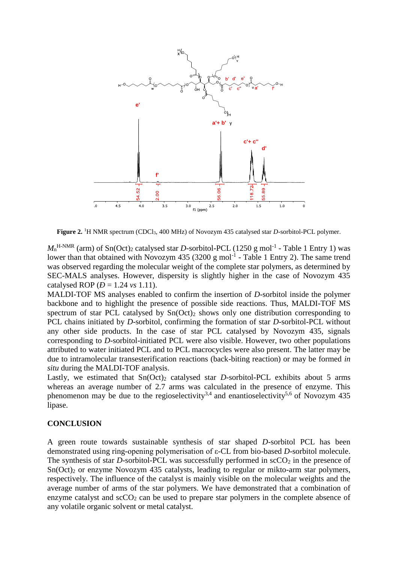

**Figure 2.** <sup>1</sup>H NMR spectrum (CDCl<sub>3</sub>, 400 MHz) of Novozym 435 catalysed star *D*-sorbitol-PCL polymer.

 $M<sub>n</sub><sup>H-NMR</sup>$  (arm) of Sn(Oct)<sub>2</sub> catalysed star *D*-sorbitol-PCL (1250 g mol<sup>-1</sup> - Table 1 Entry 1) was lower than that obtained with Novozym  $435$  (3200 g mol<sup>-1</sup> - Table 1 Entry 2). The same trend was observed regarding the molecular weight of the complete star polymers, as determined by SEC-MALS analyses. However, dispersity is slightly higher in the case of Novozym 435 catalysed ROP  $(D = 1.24 \text{ vs } 1.11)$ .

MALDI-TOF MS analyses enabled to confirm the insertion of *D*-sorbitol inside the polymer backbone and to highlight the presence of possible side reactions. Thus, MALDI-TOF MS spectrum of star PCL catalysed by  $Sn(Oct)_2$  shows only one distribution corresponding to PCL chains initiated by *D*-sorbitol, confirming the formation of star *D*-sorbitol-PCL without any other side products. In the case of star PCL catalysed by Novozym 435, signals corresponding to *D*-sorbitol-initiated PCL were also visible. However, two other populations attributed to water initiated PCL and to PCL macrocycles were also present. The latter may be due to intramolecular transesterification reactions (back-biting reaction) or may be formed *in situ* during the MALDI-TOF analysis.

Lastly, we estimated that  $Sn(Oct)_2$  catalysed star *D*-sorbitol-PCL exhibits about 5 arms whereas an average number of 2.7 arms was calculated in the presence of enzyme. This phenomenon may be due to the regioselectivity<sup>3,4</sup> and enantioselectivity<sup>5,6</sup> of Novozym 435 lipase.

#### **CONCLUSION**

A green route towards sustainable synthesis of star shaped *D*-sorbitol PCL has been demonstrated using ring-opening polymerisation of ε-CL from bio-based *D*-sorbitol molecule. The synthesis of star *D*-sorbitol-PCL was successfully performed in  $\sec O_2$  in the presence of Sn(Oct)<sup>2</sup> or enzyme Novozym 435 catalysts, leading to regular or mikto-arm star polymers, respectively. The influence of the catalyst is mainly visible on the molecular weights and the average number of arms of the star polymers. We have demonstrated that a combination of enzyme catalyst and  $\sec O_2$  can be used to prepare star polymers in the complete absence of any volatile organic solvent or metal catalyst.